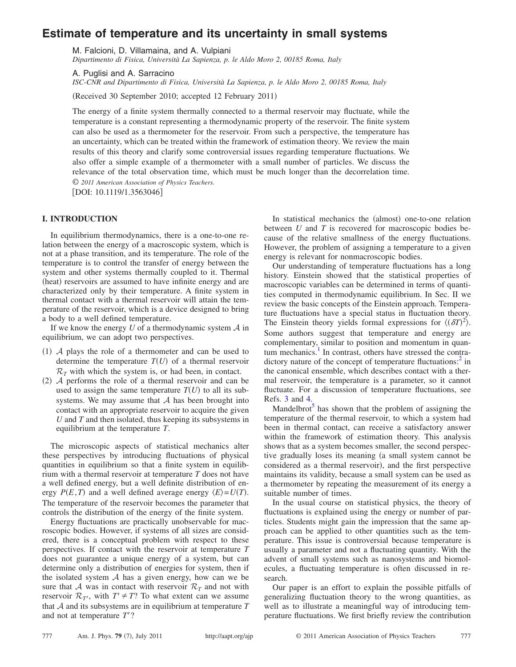# **Estimate of temperature and its uncertainty in small systems**

M. Falcioni, D. Villamaina, and A. Vulpiani *Dipartimento di Fisica, Università La Sapienza, p. le Aldo Moro 2, 00185 Roma, Italy*

A. Puglisi and A. Sarracino

*ISC-CNR and Dipartimento di Fisica, Università La Sapienza, p. le Aldo Moro 2, 00185 Roma, Italy*

(Received 30 September 2010; accepted 12 February 2011)

The energy of a finite system thermally connected to a thermal reservoir may fluctuate, while the temperature is a constant representing a thermodynamic property of the reservoir. The finite system can also be used as a thermometer for the reservoir. From such a perspective, the temperature has an uncertainty, which can be treated within the framework of estimation theory. We review the main results of this theory and clarify some controversial issues regarding temperature fluctuations. We also offer a simple example of a thermometer with a small number of particles. We discuss the relevance of the total observation time, which must be much longer than the decorrelation time. © *2011 American Association of Physics Teachers.*

[DOI: 10.1119/1.3563046]

# **I. INTRODUCTION**

In equilibrium thermodynamics, there is a one-to-one relation between the energy of a macroscopic system, which is not at a phase transition, and its temperature. The role of the temperature is to control the transfer of energy between the system and other systems thermally coupled to it. Thermal (heat) reservoirs are assumed to have infinite energy and are characterized only by their temperature. A finite system in thermal contact with a thermal reservoir will attain the temperature of the reservoir, which is a device designed to bring a body to a well defined temperature.

If we know the energy  $U$  of a thermodynamic system  $\mathcal A$  in equilibrium, we can adopt two perspectives.

- (1) A plays the role of a thermometer and can be used to determine the temperature  $T(U)$  of a thermal reservoir  $\mathcal{R}_T$  with which the system is, or had been, in contact.
- (2) A performs the role of a thermal reservoir and can be used to assign the same temperature  $T(U)$  to all its subsystems. We may assume that  $A$  has been brought into contact with an appropriate reservoir to acquire the given *U* and *T* and then isolated, thus keeping its subsystems in equilibrium at the temperature *T*.

The microscopic aspects of statistical mechanics alter these perspectives by introducing fluctuations of physical quantities in equilibrium so that a finite system in equilibrium with a thermal reservoir at temperature *T* does not have a well defined energy, but a well definite distribution of energy  $P(E,T)$  and a well defined average energy  $\langle E \rangle = U(T)$ . The temperature of the reservoir becomes the parameter that controls the distribution of the energy of the finite system.

Energy fluctuations are practically unobservable for macroscopic bodies. However, if systems of all sizes are considered, there is a conceptual problem with respect to these perspectives. If contact with the reservoir at temperature *T* does not guarantee a unique energy of a system, but can determine only a distribution of energies for system, then if the isolated system  $A$  has a given energy, how can we be sure that A was in contact with reservoir  $\mathcal{R}_T$  and not with reservoir  $\mathcal{R}_{T}$ , with  $T' \neq T$ ? To what extent can we assume that A and its subsystems are in equilibrium at temperature *T* and not at temperature *T*?

In statistical mechanics the (almost) one-to-one relation between *U* and *T* is recovered for macroscopic bodies because of the relative smallness of the energy fluctuations. However, the problem of assigning a temperature to a given energy is relevant for nonmacroscopic bodies.

Our understanding of temperature fluctuations has a long history. Einstein showed that the statistical properties of macroscopic variables can be determined in terms of quantities computed in thermodynamic equilibrium. In Sec. II we review the basic concepts of the Einstein approach. Temperature fluctuations have a special status in fluctuation theory. The Einstein theory yields formal expressions for  $\langle (\delta T)^2 \rangle$ . Some authors suggest that temperature and energy are complementary, similar to position and momentum in quantum mechanics.<sup>1</sup> In contrast, others have stressed the contradictory nature of the concept of temperature fluctuations: $\frac{2}{1}$  in the canonical ensemble, which describes contact with a thermal reservoir, the temperature is a parameter, so it cannot fluctuate. For a discussion of temperature fluctuations, see Refs. [3](#page-8-2) and [4.](#page-8-3)

Mandelbrot<sup>5</sup> has shown that the problem of assigning the temperature of the thermal reservoir, to which a system had been in thermal contact, can receive a satisfactory answer within the framework of estimation theory. This analysis shows that as a system becomes smaller, the second perspective gradually loses its meaning (a small system cannot be considered as a thermal reservoir), and the first perspective maintains its validity, because a small system can be used as a thermometer by repeating the measurement of its energy a suitable number of times.

In the usual course on statistical physics, the theory of fluctuations is explained using the energy or number of particles. Students might gain the impression that the same approach can be applied to other quantities such as the temperature. This issue is controversial because temperature is usually a parameter and not a fluctuating quantity. With the advent of small systems such as nanosystems and biomolecules, a fluctuating temperature is often discussed in research.

Our paper is an effort to explain the possible pitfalls of generalizing fluctuation theory to the wrong quantities, as well as to illustrate a meaningful way of introducing temperature fluctuations. We first briefly review the contribution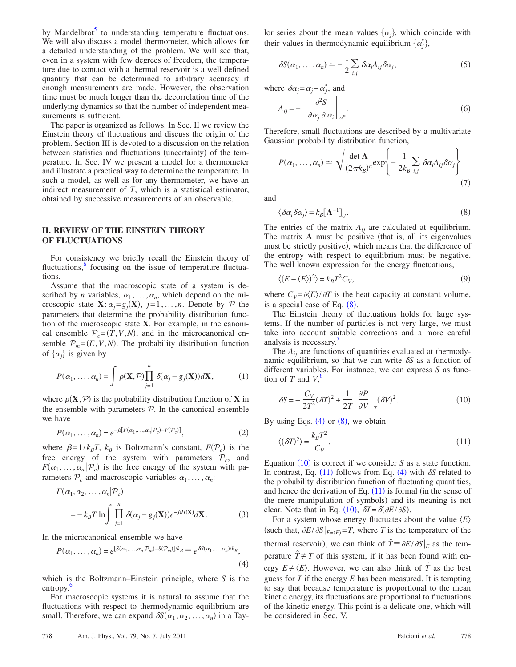by Mandelbrot<sup>5</sup> to understanding temperature fluctuations. We will also discuss a model thermometer, which allows for a detailed understanding of the problem. We will see that, even in a system with few degrees of freedom, the temperature due to contact with a thermal reservoir is a well defined quantity that can be determined to arbitrary accuracy if enough measurements are made. However, the observation time must be much longer than the decorrelation time of the underlying dynamics so that the number of independent measurements is sufficient.

The paper is organized as follows. In Sec. II we review the Einstein theory of fluctuations and discuss the origin of the problem. Section III is devoted to a discussion on the relation between statistics and fluctuations (uncertainty) of the temperature. In Sec. IV we present a model for a thermometer and illustrate a practical way to determine the temperature. In such a model, as well as for any thermometer, we have an indirect measurement of *T*, which is a statistical estimator, obtained by successive measurements of an observable.

## **II. REVIEW OF THE EINSTEIN THEORY OF FLUCTUATIONS**

For consistency we briefly recall the Einstein theory of fluctuations,<sup>o</sup> focusing on the issue of temperature fluctuations.

Assume that the macroscopic state of a system is described by *n* variables,  $\alpha_1, \ldots, \alpha_n$ , which depend on the microscopic state  $\mathbf{X}: \alpha_j = g_j(\mathbf{X})$ ,  $j = 1, ..., n$ . Denote by  $\mathcal{P}$  the parameters that determine the probability distribution function of the microscopic state **X**. For example, in the canonical ensemble  $P_c = (T, V, N)$ , and in the microcanonical ensemble  $\mathcal{P}_m = (E, V, N)$ . The probability distribution function of  $\{\alpha_j\}$  is given by

$$
P(\alpha_1, ..., \alpha_n) = \int \rho(\mathbf{X}, \mathcal{P}) \prod_{j=1}^n \delta(\alpha_j - g_j(\mathbf{X})) d\mathbf{X},
$$
 (1)

where  $\rho(\mathbf{X}, \mathcal{P})$  is the probability distribution function of **X** in the ensemble with parameters  $P$ . In the canonical ensemble we have

$$
P(\alpha_1, \dots, \alpha_n) = e^{-\beta [F(\alpha_1, \dots, \alpha_n | \mathcal{P}_c) - F(\mathcal{P}_c)]},\tag{2}
$$

where  $\beta = 1/k_B T$ ,  $k_B$  is Boltzmann's constant,  $F(\mathcal{P}_c)$  is the free energy of the system with parameters  $P_c$ , and  $F(\alpha_1, \ldots, \alpha_n | \mathcal{P}_c)$  is the free energy of the system with parameters  $P_c$  and macroscopic variables  $\alpha_1, \ldots, \alpha_n$ :

$$
F(\alpha_1, \alpha_2, \dots, \alpha_n | \mathcal{P}_c)
$$
  
=  $-k_B T \ln \int \prod_{j=1}^n \delta(\alpha_j - g_j(\mathbf{X})) e^{-\beta H(\mathbf{X})} d\mathbf{X}.$  (3)

<span id="page-1-1"></span>In the microcanonical ensemble we have

$$
P(\alpha_1, ..., \alpha_n) = e^{[S(\alpha_1, ..., \alpha_n | \mathcal{P}_m) - S(\mathcal{P}_m)]/k_B} \equiv e^{\delta S(\alpha_1, ..., \alpha_n)/k_B},\tag{4}
$$

which is the Boltzmann–Einstein principle, where *S* is the entropy.<sup>6</sup>

For macroscopic systems it is natural to assume that the fluctuations with respect to thermodynamic equilibrium are small. Therefore, we can expand  $\delta S(\alpha_1, \alpha_2, ..., \alpha_n)$  in a Taylor series about the mean values  $\{\alpha_j\}$ , which coincide with their values in thermodynamic equilibrium  $\{\alpha_j^*\}$ ,

$$
\delta S(\alpha_1, \dots, \alpha_n) \simeq -\frac{1}{2} \sum_{i,j} \delta \alpha_i A_{ij} \delta \alpha_j, \qquad (5)
$$

where  $\delta \alpha_j = \alpha_j - \alpha_j^*$ , and

$$
A_{ij} = -\left. \frac{\partial^2 S}{\partial \alpha_j \partial \alpha_i} \right|_{\alpha^*}.
$$
 (6)

Therefore, small fluctuations are described by a multivariate Gaussian probability distribution function,

$$
P(\alpha_1, ..., \alpha_n) \simeq \sqrt{\frac{\det \mathbf{A}}{(2\pi k_B)^n}} \exp \left\{-\frac{1}{2k_B} \sum_{i,j} \delta \alpha_i A_{ij} \delta \alpha_j\right\} \tag{7}
$$

<span id="page-1-0"></span>and

$$
\langle \delta \alpha_i \delta \alpha_j \rangle = k_B [\mathbf{A}^{-1}]_{ij}.
$$
 (8)

The entries of the matrix  $A_{ij}$  are calculated at equilibrium. The matrix A must be positive (that is, all its eigenvalues must be strictly positive), which means that the difference of the entropy with respect to equilibrium must be negative. The well known expression for the energy fluctuations,

$$
\langle (E - \langle E \rangle)^2 \rangle = k_B T^2 C_V,\tag{9}
$$

<span id="page-1-4"></span>where  $C_V = \partial \langle E \rangle / \partial T$  is the heat capacity at constant volume, is a special case of Eq.  $(8)$  $(8)$  $(8)$ .

The Einstein theory of fluctuations holds for large systems. If the number of particles is not very large, we must take into account suitable corrections and a more careful analysis is necessary.

The  $A_{ii}$  are functions of quantities evaluated at thermodynamic equilibrium, so that we can write  $\delta S$  as a function of different variables. For instance, we can express *S* as function of  $T$  and  $V$ ,  $\frac{6}{5}$  $\frac{6}{5}$  $\frac{6}{5}$ 

<span id="page-1-2"></span>
$$
\delta S = -\frac{C_V}{2T^2} (\delta T)^2 + \frac{1}{2T} \left. \frac{\partial P}{\partial V} \right|_T (\delta V)^2.
$$
 (10)

<span id="page-1-3"></span>By using Eqs.  $(4)$  $(4)$  $(4)$  or  $(8)$  $(8)$  $(8)$ , we obtain

$$
\langle (\delta T)^2 \rangle = \frac{k_B T^2}{C_V}.\tag{11}
$$

Equation  $(10)$  $(10)$  $(10)$  is correct if we consider *S* as a state function. In contrast, Eq.  $(11)$  $(11)$  $(11)$  follows from Eq.  $(4)$  $(4)$  $(4)$  with  $\delta S$  related to the probability distribution function of fluctuating quantities, and hence the derivation of Eq.  $(11)$  $(11)$  $(11)$  is formal (in the sense of the mere manipulation of symbols) and its meaning is not clear. Note that in Eq. ([10](#page-1-2)),  $\delta T = \delta(\partial E / \partial S)$ .

For a system whose energy fluctuates about the value  $\langle E \rangle$ (such that,  $\partial E/\partial S|_{E=\langle E \rangle}=T$ , where *T* is the temperature of the thermal reservoir), we can think of  $\hat{T} = \partial E / \partial S \vert_E$  as the temperature  $\hat{T} \neq T$  of this system, if it has been found with energy  $E \neq \langle E \rangle$ . However, we can also think of  $\hat{T}$  as the best guess for *T* if the energy *E* has been measured. It is tempting to say that because temperature is proportional to the mean kinetic energy, its fluctuations are proportional to fluctuations of the kinetic energy. This point is a delicate one, which will be considered in Sec. V.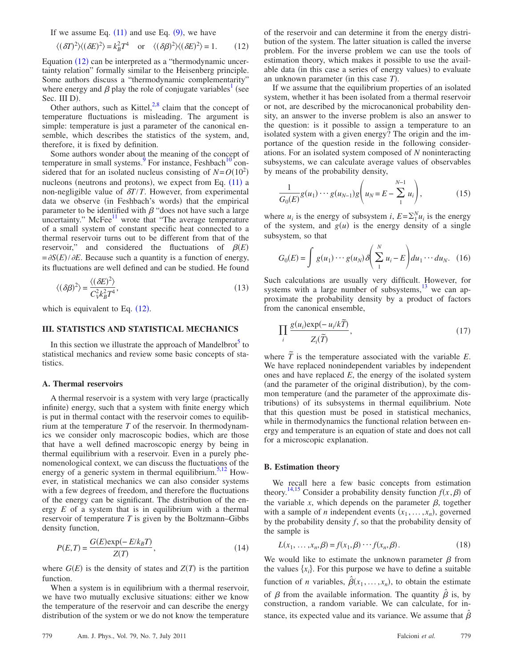<span id="page-2-0"></span>If we assume Eq.  $(11)$  $(11)$  $(11)$  and use Eq.  $(9)$  $(9)$  $(9)$ , we have

$$
\langle (\delta T)^2 \rangle \langle (\delta E)^2 \rangle = k_B^2 T^4 \quad \text{or} \quad \langle (\delta \beta)^2 \rangle \langle (\delta E)^2 \rangle = 1. \tag{12}
$$

Equation ([12](#page-2-0)) can be interpreted as a "thermodynamic uncertainty relation" formally similar to the Heisenberg principle. Some authors discuss a "thermodynamic complementarity" where energy and  $\beta$  play the role of conjugate variables<sup>1</sup> (see Sec. III D).

Other authors, such as Kittel, $2.8$  $2.8$  claim that the concept of temperature fluctuations is misleading. The argument is simple: temperature is just a parameter of the canonical ensemble, which describes the statistics of the system, and, therefore, it is fixed by definition.

Some authors wonder about the meaning of the concept of temperature in small systems. $9$  For instance, Feshbach<sup>10</sup> considered that for an isolated nucleus consisting of  $N = O(10^2)$ nucleons (neutrons and protons), we expect from Eq. ([11](#page-1-3)) a non-negligible value of  $\delta T/T$ . However, from experimental data we observe (in Feshbach's words) that the empirical parameter to be identified with  $\beta$  "does not have such a large uncertainty." McFee $^{11}$  wrote that "The average temperature of a small system of constant specific heat connected to a thermal reservoir turns out to be different from that of the reservoir," and considered the fluctuations of  $\beta(E)$  $=\partial S(E)/\partial E$ . Because such a quantity is a function of energy, its fluctuations are well defined and can be studied. He found

$$
\langle (\delta \beta)^2 \rangle = \frac{\langle (\delta E)^2 \rangle}{C_V^2 k_B^2 T^4},\tag{13}
$$

which is equivalent to Eq.  $(12)$  $(12)$  $(12)$ .

# **III. STATISTICS AND STATISTICAL MECHANICS**

In this section we illustrate the approach of Mandelbrot $\delta$  to statistical mechanics and review some basic concepts of statistics.

## **A. Thermal reservoirs**

A thermal reservoir is a system with very large (practically infinite) energy, such that a system with finite energy which is put in thermal contact with the reservoir comes to equilibrium at the temperature *T* of the reservoir. In thermodynamics we consider only macroscopic bodies, which are those that have a well defined macroscopic energy by being in thermal equilibrium with a reservoir. Even in a purely phenomenological context, we can discuss the fluctuations of the energy of a generic system in thermal equilibrium.<sup>5,[12](#page-8-11)</sup> However, in statistical mechanics we can also consider systems with a few degrees of freedom, and therefore the fluctuations of the energy can be significant. The distribution of the energy *E* of a system that is in equilibrium with a thermal reservoir of temperature *T* is given by the Boltzmann–Gibbs density function,

$$
P(E,T) = \frac{G(E)\exp(-E/k_B T)}{Z(T)},
$$
\n(14)

where  $G(E)$  is the density of states and  $Z(T)$  is the partition function.

When a system is in equilibrium with a thermal reservoir, we have two mutually exclusive situations: either we know the temperature of the reservoir and can describe the energy distribution of the system or we do not know the temperature of the reservoir and can determine it from the energy distribution of the system. The latter situation is called the inverse problem. For the inverse problem we can use the tools of estimation theory, which makes it possible to use the available data (in this case a series of energy values) to evaluate an unknown parameter (in this case T).

If we assume that the equilibrium properties of an isolated system, whether it has been isolated from a thermal reservoir or not, are described by the microcanonical probability density, an answer to the inverse problem is also an answer to the question: is it possible to assign a temperature to an isolated system with a given energy? The origin and the importance of the question reside in the following considerations. For an isolated system composed of *N* noninteracting subsystems, we can calculate average values of observables by means of the probability density,

$$
\frac{1}{G_0(E)}g(u_1)\cdots g(u_{N-1})g\left(u_N = E - \sum_{1}^{N-1} u_i\right),\tag{15}
$$

where  $u_i$  is the energy of subsystem *i*,  $E = \sum_{i=1}^{N} u_i$  is the energy of the system, and  $g(u)$  is the energy density of a single subsystem, so that

<span id="page-2-2"></span>
$$
G_0(E) = \int g(u_1) \cdots g(u_N) \delta\left(\sum_{1}^{N} u_i - E\right) du_1 \cdots du_N. \quad (16)
$$

Such calculations are usually very difficult. However, for systems with a large number of subsystems, $13$  we can approximate the probability density by a product of factors from the canonical ensemble,

$$
\prod_{i} \frac{g(u_i) \exp(-u_i / k\tilde{T})}{Z_i(\tilde{T})},\tag{17}
$$

where  $\tilde{T}$  is the temperature associated with the variable *E*. We have replaced nonindependent variables by independent ones and have replaced *E*, the energy of the isolated system (and the parameter of the original distribution), by the common temperature (and the parameter of the approximate distributions) of its subsystems in thermal equilibrium. Note that this question must be posed in statistical mechanics, while in thermodynamics the functional relation between energy and temperature is an equation of state and does not call for a microscopic explanation.

#### **B. Estimation theory**

We recall here a few basic concepts from estimation theory.<sup>14,[15](#page-8-14)</sup> Consider a probability density function  $f(x, \beta)$  of the variable *x*, which depends on the parameter  $\beta$ , together with a sample of *n* independent events  $(x_1, \ldots, x_n)$ , governed by the probability density *f*, so that the probability density of the sample is

$$
L(x_1, \ldots, x_n, \beta) = f(x_1, \beta) \cdots f(x_n, \beta).
$$
 (18)

<span id="page-2-1"></span>We would like to estimate the unknown parameter  $\beta$  from the values  $\{x_i\}$ . For this purpose we have to define a suitable function of *n* variables,  $\hat{\beta}(x_1, \ldots, x_n)$ , to obtain the estimate of  $\beta$  from the available information. The quantity  $\hat{\beta}$  is, by construction, a random variable. We can calculate, for instance, its expected value and its variance. We assume that  $\hat{\beta}$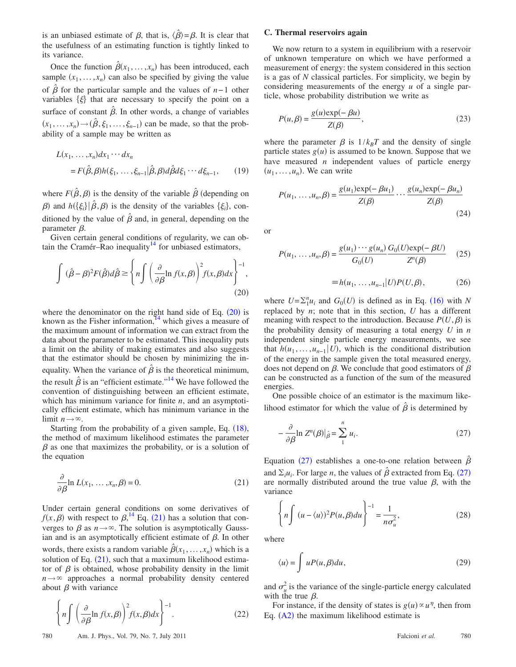is an unbiased estimate of  $\beta$ , that is,  $\langle \hat{\beta} \rangle = \beta$ . It is clear that the usefulness of an estimating function is tightly linked to its variance.

Once the function  $\hat{\beta}(x_1, \ldots, x_n)$  has been introduced, each sample  $(x_1, \ldots, x_n)$  can also be specified by giving the value of  $\hat{\beta}$  for the particular sample and the values of *n*−1 other variables  $\{\xi\}$  that are necessary to specify the point on a surface of constant  $\hat{\beta}$ . In other words, a change of variables  $(x_1, \ldots, x_n) \rightarrow (\hat{\beta}, \xi_1, \ldots, \xi_{n-1})$  can be made, so that the probability of a sample may be written as

$$
L(x_1, \dots, x_n) dx_1 \cdots dx_n
$$
  
=  $F(\hat{\beta}, \beta)h(\xi_1, \dots, \xi_{n-1}|\hat{\beta}, \beta) d\hat{\beta} d\xi_1 \cdots d\xi_{n-1},$  (19)

where  $F(\hat{\beta}, \beta)$  is the density of the variable  $\hat{\beta}$  (depending on  $\beta$  and  $h({\xi_i}|\hat{\beta}, \beta)$  is the density of the variables  ${\xi_i}$ , conditioned by the value of  $\hat{\beta}$  and, in general, depending on the parameter  $\beta$ .

Given certain general conditions of regularity, we can obtain the Cramér–Rao inequality $^{14}$  for unbiased estimators,

<span id="page-3-0"></span>
$$
\int (\hat{\beta} - \beta)^2 F(\hat{\beta}) d\hat{\beta} \ge \left\{ n \int \left( \frac{\partial}{\partial \beta} \ln f(x, \beta) \right)^2 f(x, \beta) dx \right\}^{-1},
$$
\n(20)

where the denominator on the right hand side of Eq.  $(20)$  $(20)$  $(20)$  is known as the Fisher information,  $14$  which gives a measure of the maximum amount of information we can extract from the data about the parameter to be estimated. This inequality puts a limit on the ability of making estimates and also suggests that the estimator should be chosen by minimizing the inequality. When the variance of  $\hat{\beta}$  is the theoretical minimum, the result  $\hat{\beta}$  is an "efficient estimate."<sup>14</sup> We have followed the convention of distinguishing between an efficient estimate, which has minimum variance for finite *n*, and an asymptotically efficient estimate, which has minimum variance in the limit  $n \rightarrow \infty$ .

Starting from the probability of a given sample, Eq. ([18](#page-2-1)), the method of maximum likelihood estimates the parameter  $\beta$  as one that maximizes the probability, or is a solution of the equation

<span id="page-3-1"></span>
$$
\frac{\partial}{\partial \beta} \ln L(x_1, \dots, x_n, \beta) = 0. \tag{21}
$$

Under certain general conditions on some derivatives of  $f(x, \beta)$  with respect to  $\beta$ ,<sup>[14](#page-8-13)</sup> Eq. ([21](#page-3-1)) has a solution that converges to  $\beta$  as  $n \rightarrow \infty$ . The solution is asymptotically Gaussian and is an asymptotically efficient estimate of  $\beta$ . In other words, there exists a random variable  $\hat{\beta}(x_1, \ldots, x_n)$  which is a solution of Eq.  $(21)$  $(21)$  $(21)$ , such that a maximum likelihood estimator of  $\beta$  is obtained, whose probability density in the limit  $n \rightarrow \infty$  approaches a normal probability density centered about  $\beta$  with variance

$$
\left\{ n \int \left( \frac{\partial}{\partial \beta} \ln f(x, \beta) \right)^2 f(x, \beta) dx \right\}^{-1}.
$$
 (22)

#### **C. Thermal reservoirs again**

We now return to a system in equilibrium with a reservoir of unknown temperature on which we have performed a measurement of energy: the system considered in this section is a gas of *N* classical particles. For simplicity, we begin by considering measurements of the energy *u* of a single particle, whose probability distribution we write as

$$
P(u,\beta) = \frac{g(u)\exp(-\beta u)}{Z(\beta)},
$$
\n(23)

where the parameter  $\beta$  is  $1/k_BT$  and the density of single particle states  $g(u)$  is assumed to be known. Suppose that we have measured *n* independent values of particle energy  $(u_1, \ldots, u_n)$ . We can write

$$
P(u_1, \dots, u_n, \beta) = \frac{g(u_1) \exp(-\beta u_1)}{Z(\beta)} \cdots \frac{g(u_n) \exp(-\beta u_n)}{Z(\beta)}
$$
(24)

or

$$
P(u_1, ..., u_n, \beta) = \frac{g(u_1) \cdots g(u_n)}{G_0(U)} \frac{G_0(U) \exp(-\beta U)}{Z^n(\beta)} \tag{25}
$$

$$
\equiv h(u_1, \ldots, u_{n-1} | U) P(U, \beta), \tag{26}
$$

where  $U = \sum_{i=1}^{n} u_i$  and  $G_0(U)$  is defined as in Eq. ([16](#page-2-2)) with *N* replaced by *n*; note that in this section, *U* has a different meaning with respect to the introduction. Because  $P(U, \beta)$  is the probability density of measuring a total energy *U* in *n* independent single particle energy measurements, we see that  $h(u_1, \ldots, u_{n-1} | U)$ , which is the conditional distribution of the energy in the sample given the total measured energy, does not depend on  $\beta$ . We conclude that good estimators of  $\beta$ can be constructed as a function of the sum of the measured energies.

One possible choice of an estimator is the maximum likelihood estimator for which the value of  $\hat{\beta}$  is determined by

<span id="page-3-2"></span>
$$
-\frac{\partial}{\partial \beta} \ln Z^n(\beta)|_{\hat{\beta}} = \sum_{1}^{n} u_i.
$$
 (27)

Equation ([27](#page-3-2)) establishes a one-to-one relation between  $\hat{\beta}$ and  $\Sigma_i u_i$ . For large *n*, the values of  $\hat{\beta}$  extracted from Eq. ([27](#page-3-2)) are normally distributed around the true value  $\beta$ , with the variance

<span id="page-3-3"></span>
$$
\left\{ n \int (u - \langle u \rangle)^2 P(u, \beta) du \right\}^{-1} = \frac{1}{n \sigma_u^2},
$$
\n(28)

where

$$
\langle u \rangle = \int u P(u, \beta) du,\tag{29}
$$

and  $\sigma_u^2$  is the variance of the single-particle energy calculated with the true  $\beta$ .

For instance, if the density of states is  $g(u) \propto u^{\eta}$ , then from Eq.  $(A2)$  $(A2)$  $(A2)$  the maximum likelihood estimate is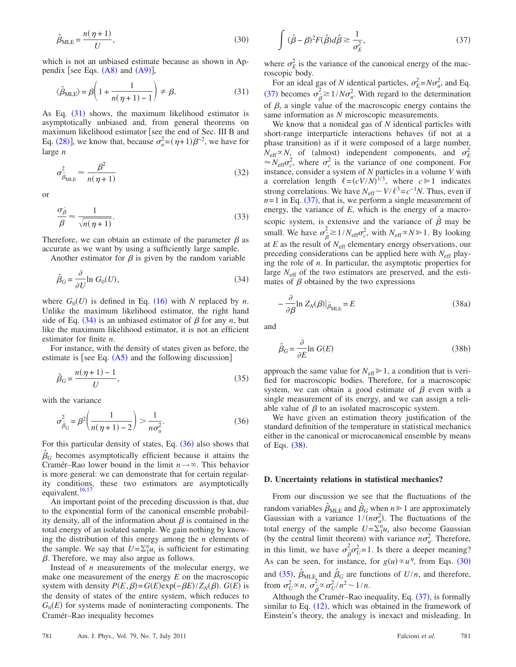<span id="page-4-5"></span>
$$
\hat{\beta}_{MLE} = \frac{n(\eta + 1)}{U},\tag{30}
$$

<span id="page-4-0"></span>which is not an unbiased estimate because as shown in Appendix [see Eqs.  $(A8)$  $(A8)$  $(A8)$  and  $(A9)$  $(A9)$  $(A9)$ ],

$$
\langle \hat{\beta}_{MLE} \rangle = \beta \bigg( 1 + \frac{1}{n(\eta + 1) - 1} \bigg) \neq \beta. \tag{31}
$$

As Eq. ([31](#page-4-0)) shows, the maximum likelihood estimator is asymptotically unbiased and, from general theorems on maximum likelihood estimator [see the end of Sec. III B and Eq. ([28](#page-3-3))], we know that, because  $\sigma_u^2 = (\eta + 1)\beta^{-2}$ , we have for large *n*

$$
\sigma_{\hat{\beta}_{MLE}}^2 \approx \frac{\beta^2}{n(\eta + 1)}\tag{32}
$$

or

$$
\frac{\sigma_{\hat{\beta}}}{\beta} \approx \frac{1}{\sqrt{n(\eta+1)}}.
$$
\n(33)

Therefore, we can obtain an estimate of the parameter  $\beta$  as accurate as we want by using a sufficiently large sample.

<span id="page-4-1"></span>Another estimator for  $\beta$  is given by the random variable

$$
\hat{\beta}_G = \frac{\partial}{\partial U} \ln G_0(U),\tag{34}
$$

where  $G_0(U)$  is defined in Eq. ([16](#page-2-2)) with *N* replaced by *n*. Unlike the maximum likelihood estimator, the right hand side of Eq.  $(34)$  $(34)$  $(34)$  is an unbiased estimator of  $\beta$  for any *n*, but like the maximum likelihood estimator, it is not an efficient estimator for finite *n*.

For instance, with the density of states given as before, the estimate is [see Eq.  $(A5)$  $(A5)$  $(A5)$  and the following discussion]

<span id="page-4-6"></span>
$$
\hat{\beta}_G = \frac{n(\eta + 1) - 1}{U},\tag{35}
$$

<span id="page-4-2"></span>with the variance

$$
\sigma_{\hat{\beta}_G}^2 = \beta^2 \left( \frac{1}{n(\eta + 1) - 2} \right) > \frac{1}{n\sigma_u^2}.
$$
 (36)

For this particular density of states, Eq.  $(36)$  $(36)$  $(36)$  also shows that  $\hat{\beta}_G$  becomes asymptotically efficient because it attains the Cramér–Rao lower bound in the limit  $n \rightarrow \infty$ . This behavior is more general: we can demonstrate that for certain regularity conditions, these two estimators are asymptotically equivalent. $16,17$  $16,17$ 

An important point of the preceding discussion is that, due to the exponential form of the canonical ensemble probability density, all of the information about  $\beta$  is contained in the total energy of an isolated sample. We gain nothing by knowing the distribution of this energy among the *n* elements of the sample. We say that  $U = \sum_{i=1}^{n} u_i$  is sufficient for estimating  $\beta$ . Therefore, we may also argue as follows.

Instead of *n* measurements of the molecular energy, we make one measurement of the energy *E* on the macroscopic system with density  $P(E, \beta) = G(E) \exp(-\beta E) / Z_N(\beta)$ .  $G(E)$  is the density of states of the entire system, which reduces to  $G_0(E)$  for systems made of noninteracting components. The Cramér–Rao inequality becomes

<span id="page-4-3"></span>
$$
\int (\hat{\beta} - \beta)^2 F(\hat{\beta}) d\hat{\beta} \ge \frac{1}{\sigma_E^2},\tag{37}
$$

where  $\sigma_E^2$  is the variance of the canonical energy of the macroscopic body.

For an ideal gas of *N* identical particles,  $\sigma_E^2 = N \sigma_u^2$ , and Eq. ([37](#page-4-3)) becomes  $\sigma_{\hat{\beta}}^2 \ge 1/N\sigma_u^2$ . With regard to the determination of  $\beta$ , a single value of the macroscopic energy contains the same information as *N* microscopic measurements.

We know that a nonideal gas of *N* identical particles with short-range interparticle interactions behaves (if not at a phase transition) as if it were composed of a large number,  $N_{\text{eff}} \propto N$ , of (almost) independent components, and  $\sigma_E^2$  $\approx N_{\text{eff}} \sigma_c^2$ , where  $\sigma_c^2$  is the variance of one component. For instance, consider a system of *N* particles in a volume *V* with a correlation length  $\ell = (cV/N)^{1/3}$ , where  $c \ge 1$  indicates strong correlations. We have  $N_{\text{eff}} \sim V/\ell^3 = c^{-1}N$ . Thus, even if  $n=1$  in Eq. ([37](#page-4-3)), that is, we perform a single measurement of energy, the variance of *E*, which is the energy of a macroscopic system, is extensive and the variance of  $\hat{\beta}$  may be small. We have  $\sigma_{\hat{\beta}}^2 \ge 1/N_{\text{eff}}\sigma_c^2$ , with  $N_{\text{eff}} \propto N \gg 1$ . By looking at *E* as the result of *N*eff elementary energy observations, our preceding considerations can be applied here with *N*eff playing the role of *n*. In particular, the asymptotic properties for large  $N<sub>eff</sub>$  of the two estimators are preserved, and the estimates of  $\beta$  obtained by the two expressions

<span id="page-4-4"></span>
$$
-\frac{\partial}{\partial \beta} \ln Z_N(\beta)|_{\hat{\beta}_{MLE}} = E \tag{38a}
$$

and

$$
\hat{\beta}_G = \frac{\partial}{\partial E} \ln G(E) \tag{38b}
$$

approach the same value for  $N_{\text{eff}} \gg 1$ , a condition that is verified for macroscopic bodies. Therefore, for a macroscopic system, we can obtain a good estimate of  $\beta$  even with a single measurement of its energy, and we can assign a reliable value of  $\beta$  to an isolated macroscopic system.

We have given an estimation theory justification of the standard definition of the temperature in statistical mechanics either in the canonical or microcanonical ensemble by means of Eqs. ([38](#page-4-4)).

#### **D. Uncertainty relations in statistical mechanics?**

From our discussion we see that the fluctuations of the random variables  $\hat{\beta}_{\text{MLE}}$  and  $\hat{\beta}_G$  when  $n \geq 1$  are approximately Gaussian with a variance  $1/(n\sigma_u^2)$ . The fluctuations of the total energy of the sample  $U = \sum_{i=1}^{n} u_i$  also become Gaussian (by the central limit theorem) with variance  $n\sigma_u^2$ . Therefore, in this limit, we have  $\sigma_{\hat{\beta}}^2 \sigma_U^2 = 1$ . Is there a deeper meaning? As can be seen, for instance, for  $g(u) \propto u^{\eta}$ , from Eqs. ([30](#page-4-5)) and ([35](#page-4-6)),  $\hat{\beta}_{MLE}$  and  $\hat{\beta}_G$  are functions of  $U/n$ , and therefore, from  $\sigma_U^2 \propto n$ ,  $\sigma_{\hat{\beta}}^2 \propto \sigma_U^2/n^2 \sim 1/n$ .

Although the Cramér-Rao inequality, Eq. ([37](#page-4-3)), is formally similar to Eq.  $(12)$  $(12)$  $(12)$ , which was obtained in the framework of Einstein's theory, the analogy is inexact and misleading. In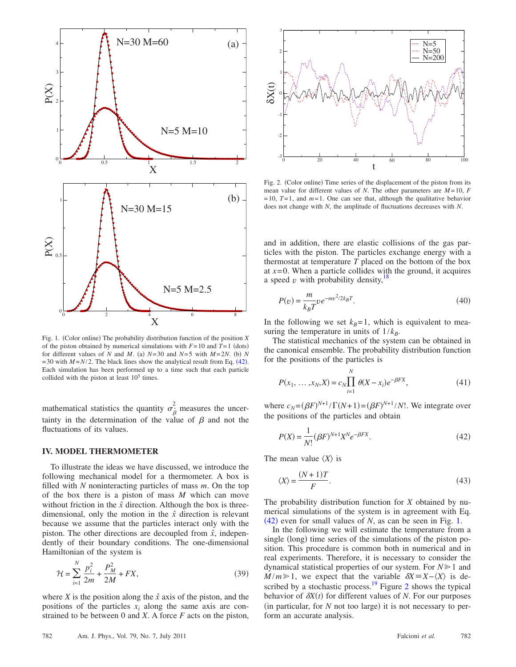<span id="page-5-1"></span>

Fig. 1. (Color online) The probability distribution function of the position *X* of the piston obtained by numerical simulations with  $F=10$  and  $T=1$  (dots) for different values of *N* and *M*. (a)  $N=30$  and  $N=5$  with  $M=2N$ . (b) N  $= 30$  with  $M = N/2$ . The black lines show the analytical result from Eq. ([42](#page-5-0)). Each simulation has been performed up to a time such that each particle collided with the piston at least  $10<sup>5</sup>$  times.

mathematical statistics the quantity  $\sigma_{\hat{\beta}}^2$  measures the uncertainty in the determination of the value of  $\beta$  and not the fluctuations of its values.

### **IV. MODEL THERMOMETER**

To illustrate the ideas we have discussed, we introduce the following mechanical model for a thermometer. A box is filled with *N* noninteracting particles of mass *m*. On the top of the box there is a piston of mass *M* which can move without friction in the  $\hat{x}$  direction. Although the box is threedimensional, only the motion in the *xˆ* direction is relevant because we assume that the particles interact only with the piston. The other directions are decoupled from  $\hat{x}$ , independently of their boundary conditions. The one-dimensional Hamiltonian of the system is

$$
\mathcal{H} = \sum_{i=1}^{N} \frac{p_i^2}{2m} + \frac{p_M^2}{2M} + FX,
$$
\n(39)

where *X* is the position along the  $\hat{x}$  axis of the piston, and the positions of the particles  $x_i$  along the same axis are constrained to be between 0 and *X*. A force *F* acts on the piston,

<span id="page-5-2"></span>

Fig. 2. (Color online) Time series of the displacement of the piston from its mean value for different values of *N*. The other parameters are  $M=10$ , *F*  $= 10$ ,  $T= 1$ , and  $m=1$ . One can see that, although the qualitative behavior does not change with *N*, the amplitude of fluctuations decreases with *N*.

and in addition, there are elastic collisions of the gas particles with the piston. The particles exchange energy with a thermostat at temperature *T* placed on the bottom of the box at  $x=0$ . When a particle collides with the ground, it acquires a speed  $v$  with probability density,<sup>1</sup>

$$
P(v) = \frac{m}{k_B T} v e^{-mv^2/2k_B T}.
$$
\n(40)

In the following we set  $k_B$ = 1, which is equivalent to measuring the temperature in units of  $1/k_B$ .

The statistical mechanics of the system can be obtained in the canonical ensemble. The probability distribution function for the positions of the particles is

$$
P(x_1, ..., x_N, X) = c_N \prod_{i=1}^N \theta(X - x_i) e^{-\beta F X},
$$
\n(41)

where  $c_N = (\beta F)^{N+1} / \Gamma(N+1) = (\beta F)^{N+1} / N!$ . We integrate over the positions of the particles and obtain

<span id="page-5-0"></span>
$$
P(X) = \frac{1}{N!} (\beta F)^{N+1} X^N e^{-\beta F X}.
$$
 (42)

<span id="page-5-3"></span>The mean value  $\langle X \rangle$  is

$$
\langle X \rangle = \frac{(N+1)T}{F}.\tag{43}
$$

The probability distribution function for *X* obtained by numerical simulations of the system is in agreement with Eq.  $(42)$  $(42)$  $(42)$  even for small values of *N*, as can be seen in Fig. [1.](#page-5-1)

In the following we will estimate the temperature from a single (long) time series of the simulations of the piston position. This procedure is common both in numerical and in real experiments. Therefore, it is necessary to consider the dynamical statistical properties of our system. For *N* 1 and *M*/*m*  $\ge$  1, we expect that the variable  $\delta X = X - \langle X \rangle$  is de-scribed by a stochastic process.<sup>19</sup> Figure [2](#page-5-2) shows the typical behavior of  $\delta X(t)$  for different values of *N*. For our purposes  $(in$  particular, for  $N$  not too large) it is not necessary to perform an accurate analysis.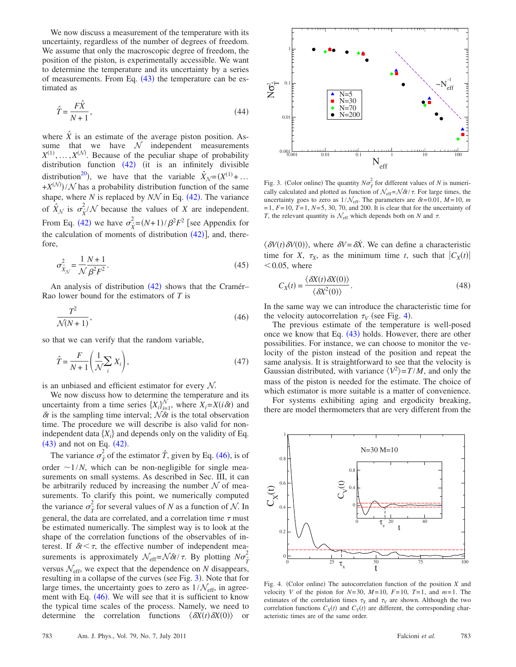We now discuss a measurement of the temperature with its uncertainty, regardless of the number of degrees of freedom. We assume that only the macroscopic degree of freedom, the position of the piston, is experimentally accessible. We want to determine the temperature and its uncertainty by a series of measurements. From Eq.  $(43)$  $(43)$  $(43)$  the temperature can be estimated as

$$
\hat{T} = \frac{F\hat{X}}{N+1},\tag{44}
$$

where  $\hat{X}$  is an estimate of the average piston position. Assume that we have  $\mathcal N$  independent measurements  $X^{(1)}, \ldots, X^{(N)}$ . Because of the peculiar shape of probability distribution function  $(42)$  $(42)$  $(42)$  (it is an infinitely divisible distribution<sup>20</sup>), we have that the variable  $\hat{X}_N = (X^{(1)} + ...$  $+X^{(N)}/N$  has a probability distribution function of the same shape, where  $N$  is replaced by  $N\mathcal{N}$  in Eq. ([42](#page-5-0)). The variance of  $\hat{X}_N$  is  $\sigma_X^2/N$  because the values of *X* are independent. From Eq. ([42](#page-5-0)) we have  $\sigma_{\hat{X}}^2 = (N+1)/\beta^2 F^2$  [see Appendix for the calculation of moments of distribution  $(42)$  $(42)$  $(42)$ ], and, therefore,

<span id="page-6-3"></span>
$$
\sigma_{\hat{X}_{\mathcal{N}}}^2 = \frac{1}{\mathcal{N}} \frac{N+1}{\beta^2 F^2}.
$$
\n(45)

An analysis of distribution ([42](#page-5-0)) shows that the Cramér-Rao lower bound for the estimators of *T* is

<span id="page-6-0"></span>
$$
\frac{T^2}{\mathcal{N}(N+1)},\tag{46}
$$

so that we can verify that the random variable,

$$
\hat{T} = \frac{F}{N+1} \left( \frac{1}{N} \sum_{i} X_{i} \right),\tag{47}
$$

is an unbiased and efficient estimator for every  $N$ .

We now discuss how to determine the temperature and its uncertainty from a time series  $\{X_i\}_{i=1}^N$ , where  $X_i = X(i\delta t)$  and  $\delta t$  is the sampling time interval;  $\mathcal{N}\delta t$  is the total observation time. The procedure we will describe is also valid for nonindependent data  $\{X_i\}$  and depends only on the validity of Eq.  $(43)$  $(43)$  $(43)$  and not on Eq.  $(42)$  $(42)$  $(42)$ .

The variance  $\sigma_{\hat{T}}^2$  of the estimator  $\hat{T}$ , given by Eq. ([46](#page-6-0)), is of order  $\sim$  1/*N*, which can be non-negligible for single measurements on small systems. As described in Sec. III, it can be arbitrarily reduced by increasing the number  $N$  of measurements. To clarify this point, we numerically computed the variance  $\sigma_{\hat{T}}^2$  for several values of *N* as a function of *N*. In general, the data are correlated, and a correlation time  $\tau$  must be estimated numerically. The simplest way is to look at the shape of the correlation functions of the observables of interest. If  $\delta t < \tau$ , the effective number of independent measurements is approximately  $\mathcal{N}_{eff} = \mathcal{N}\delta t / \tau$ . By plotting  $N\sigma_j^2$ versus  $\mathcal{N}_{\text{eff}}$ , we expect that the dependence on *N* disappears, resulting in a collapse of the curves (see Fig. [3](#page-6-1)). Note that for large times, the uncertainty goes to zero as  $1/\mathcal{N}_{\text{eff}}$ , in agreement with Eq.  $(46)$  $(46)$  $(46)$ . We will see that it is sufficient to know the typical time scales of the process. Namely, we need to determine the correlation functions  $\langle \delta X(t) \delta X(0) \rangle$  or

<span id="page-6-1"></span>

Fig. 3. (Color online) The quantity  $N\sigma_{\tilde{T}}^2$  for different values of *N* is numerically calculated and plotted as function of  $\mathcal{N}_{\text{eff}} = \mathcal{N}\delta t / \tau$ . For large times, the uncertainty goes to zero as  $1/N_{\text{eff}}$ . The parameters are  $\delta t = 0.01$ ,  $M = 10$ , m  $=1, F=10, T=1, N=5, 30, 70, \text{ and } 200$ . It is clear that for the uncertainty of *T*, the relevant quantity is  $\mathcal{N}_{\text{eff}}$  which depends both on *N* and  $\tau$ .

 $\langle \delta V(t) \delta V(0) \rangle$ , where  $\delta V = \delta \dot{X}$ . We can define a characteristic time for *X*,  $\tau_X$ , as the minimum time *t*, such that  $|C_X(t)|$  $< 0.05$ , where

$$
C_X(t) = \frac{\langle \delta X(t) \delta X(0) \rangle}{\langle \delta X^2(0) \rangle}.
$$
\n(48)

In the same way we can introduce the characteristic time for the velocity autocorrelation  $\tau_V$  (see Fig. [4](#page-6-2)).

The previous estimate of the temperature is well-posed once we know that Eq.  $(43)$  $(43)$  $(43)$  holds. However, there are other possibilities. For instance, we can choose to monitor the velocity of the piston instead of the position and repeat the same analysis. It is straightforward to see that the velocity is Gaussian distributed, with variance  $\langle V^2 \rangle = T/M$ , and only the mass of the piston is needed for the estimate. The choice of which estimator is more suitable is a matter of convenience.

For systems exhibiting aging and ergodicity breaking, there are model thermometers that are very different from the

<span id="page-6-2"></span>

Fig. 4. (Color online) The autocorrelation function of the position  $X$  and velocity *V* of the piston for  $N=30$ ,  $M=10$ ,  $F=10$ ,  $T=1$ , and  $m=1$ . The estimates of the correlation times  $\tau_X$  and  $\tau_V$  are shown. Although the two correlation functions  $C_X(t)$  and  $C_V(t)$  are different, the corresponding characteristic times are of the same order.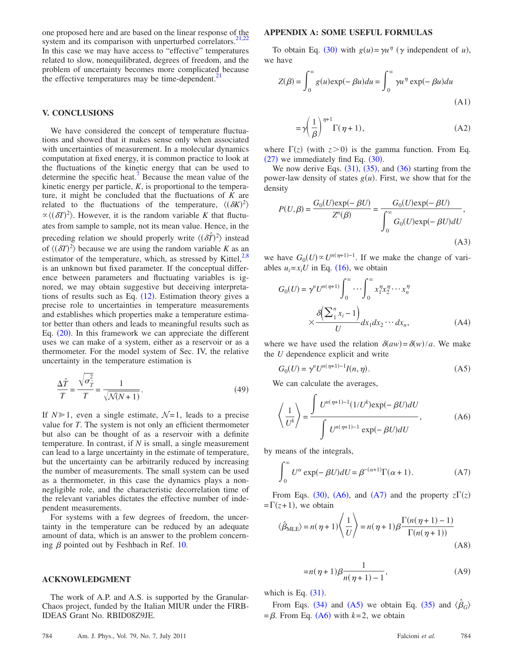one proposed here and are based on the linear response of the system and its comparison with unperturbed correlators.<sup>21,[22](#page-8-21)</sup> In this case we may have access to "effective" temperatures related to slow, nonequilibrated, degrees of freedom, and the problem of uncertainty becomes more complicated because the effective temperatures may be time-dependent. $21$ 

#### **V. CONCLUSIONS**

We have considered the concept of temperature fluctuations and showed that it makes sense only when associated with uncertainties of measurement. In a molecular dynamics computation at fixed energy, it is common practice to look at the fluctuations of the kinetic energy that can be used to determine the specific heat.<sup>7</sup> Because the mean value of the kinetic energy per particle, *K*, is proportional to the temperature, it might be concluded that the fluctuations of *K* are related to the fluctuations of the temperature,  $\langle (\delta K)^2 \rangle$  $\propto \langle (\delta T)^2 \rangle$ . However, it is the random variable *K* that fluctuates from sample to sample, not its mean value. Hence, in the preceding relation we should properly write  $\langle (\delta \hat{T})^2 \rangle$  instead of  $\langle (\delta T)^2 \rangle$  because we are using the random variable *K* as an estimator of the temperature, which, as stressed by Kittel, $^{2,8}$  $^{2,8}$  $^{2,8}$ is an unknown but fixed parameter. If the conceptual difference between parameters and fluctuating variables is ignored, we may obtain suggestive but deceiving interpretations of results such as Eq.  $(12)$  $(12)$  $(12)$ . Estimation theory gives a precise role to uncertainties in temperature measurements and establishes which properties make a temperature estimator better than others and leads to meaningful results such as Eq. ([20](#page-3-0)). In this framework we can appreciate the different uses we can make of a system, either as a reservoir or as a thermometer. For the model system of Sec. IV, the relative uncertainty in the temperature estimation is

$$
\frac{\Delta\hat{T}}{T} = \frac{\sqrt{\sigma_{\hat{T}}^2}}{T} = \frac{1}{\sqrt{\mathcal{N}(N+1)}}.
$$
\n(49)

If  $N \ge 1$ , even a single estimate,  $\mathcal{N}=1$ , leads to a precise value for *T*. The system is not only an efficient thermometer but also can be thought of as a reservoir with a definite temperature. In contrast, if *N* is small, a single measurement can lead to a large uncertainty in the estimate of temperature, but the uncertainty can be arbitrarily reduced by increasing the number of measurements. The small system can be used as a thermometer, in this case the dynamics plays a nonnegligible role, and the characteristic decorrelation time of the relevant variables dictates the effective number of independent measurements.

For systems with a few degrees of freedom, the uncertainty in the temperature can be reduced by an adequate amount of data, which is an answer to the problem concerning  $\beta$  pointed out by Feshbach in Ref. [10.](#page-8-9)

#### **ACKNOWLEDGMENT**

The work of A.P. and A.S. is supported by the Granular-Chaos project, funded by the Italian MIUR under the FIRB-IDEAS Grant No. RBID08Z9JE.

## **APPENDIX A: SOME USEFUL FORMULAS**

To obtain Eq. ([30](#page-4-5)) with  $g(u) = \gamma u^{\eta}$  ( $\gamma$  independent of *u*), we have

$$
Z(\beta) = \int_0^\infty g(u) \exp(-\beta u) du = \int_0^\infty \gamma u^\eta \exp(-\beta u) du
$$
\n(A1)

<span id="page-7-0"></span>
$$
=\gamma\left(\frac{1}{\beta}\right)^{\eta+1}\Gamma(\eta+1),\tag{A2}
$$

where  $\Gamma(z)$  (with  $z > 0$ ) is the gamma function. From Eq.  $(27)$  $(27)$  $(27)$  we immediately find Eq.  $(30)$  $(30)$  $(30)$ .

We now derive Eqs.  $(31)$  $(31)$  $(31)$ ,  $(35)$  $(35)$  $(35)$ , and  $(36)$  $(36)$  $(36)$  starting from the power-law density of states  $g(u)$ . First, we show that for the density

$$
P(U,\beta) = \frac{G_0(U)\exp(-\beta U)}{Z^n(\beta)} = \frac{G_0(U)\exp(-\beta U)}{\int_0^\infty G_0(U)\exp(-\beta U)dU},\tag{A3}
$$

we have  $G_0(U) \propto U^{n(\eta+1)-1}$ . If we make the change of variables  $u_i = x_i U$  in Eq. ([16](#page-2-2)), we obtain

$$
G_0(U) = \gamma^n U^{n(\eta+1)} \int_0^\infty \cdots \int_0^\infty x_1^n x_2^n \cdots x_n^n
$$

$$
\times \frac{\delta \left(\sum_{i=1}^n x_i - 1\right)}{U} dx_1 dx_2 \cdots dx_n, \tag{A4}
$$

where we have used the relation  $\delta(aw) = \delta(w)/a$ . We make the *U* dependence explicit and write

<span id="page-7-3"></span> $G_0(U) = \gamma^n U^{n(\eta+1)-1} I(n, \eta)$ .  $( A5)$ 

<span id="page-7-4"></span>We can calculate the averages,

$$
\left\langle \frac{1}{U^k} \right\rangle = \frac{\int U^{n(\eta+1)-1}(1/U^k) \exp(-\beta U) dU}{\int U^{n(\eta+1)-1} \exp(-\beta U) dU},
$$
\n(A6)

<span id="page-7-5"></span>by means of the integrals,

$$
\int_0^\infty U^\alpha \exp(-\beta U) dU = \beta^{-(\alpha+1)} \Gamma(\alpha+1). \tag{A7}
$$

From Eqs. ([30](#page-4-5)), ([A6](#page-7-4)), and ([A7](#page-7-5)) and the property  $z\Gamma(z)$  $=\Gamma(z+1)$ , we obtain

<span id="page-7-1"></span>
$$
\langle \hat{\beta}_{MLE} \rangle = n(\eta + 1) \left\langle \frac{1}{U} \right\rangle = n(\eta + 1) \beta \frac{\Gamma(n(\eta + 1) - 1)}{\Gamma(n(\eta + 1))}
$$
\n(A8)

$$
= n(\eta + 1)\beta \frac{1}{n(\eta + 1) - 1},
$$
 (A9)

<span id="page-7-2"></span>which is Eq.  $(31)$  $(31)$  $(31)$ .

From Eqs. ([34](#page-4-1)) and ([A5](#page-7-3)) we obtain Eq. ([35](#page-4-6)) and  $\langle \hat{\beta}_G \rangle$  $=$   $\beta$ . From Eq. ([A6](#page-7-4)) with  $k=2$ , we obtain